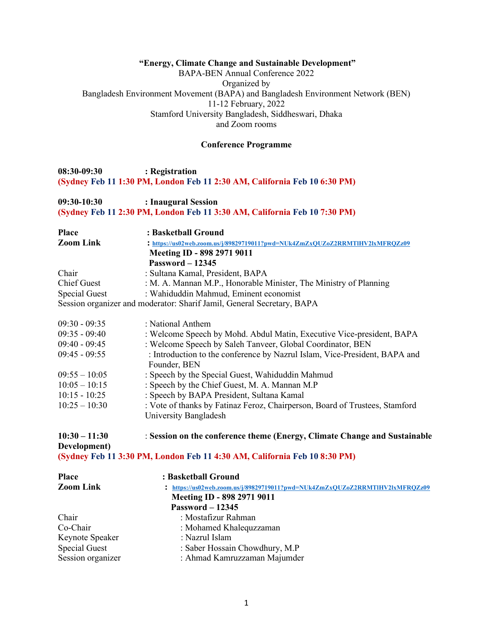### **"Energy, Climate Change and Sustainable Development"**

BAPA-BEN Annual Conference 2022 Organized by Bangladesh Environment Movement (BAPA) and Bangladesh Environment Network (BEN) 11-12 February, 2022 Stamford University Bangladesh, Siddheswari, Dhaka and Zoom rooms

#### **Conference Programme**

## **08:30-09:30 : Registration (Sydney Feb 11 1:30 PM, London Feb 11 2:30 AM, California Feb 10 6:30 PM)**

### **09:30-10:30 : Inaugural Session (Sydney Feb 11 2:30 PM, London Feb 11 3:30 AM, California Feb 10 7:30 PM)**

| <b>Place</b>     | : Basketball Ground                                                          |
|------------------|------------------------------------------------------------------------------|
| <b>Zoom Link</b> | : https://us02web.zoom.us/j/89829719011?pwd=NUk4ZmZxQUZoZ2RRMTIHV2lxMFRQZz09 |
|                  | Meeting ID - 898 2971 9011                                                   |
|                  | $Password - 12345$                                                           |
| Chair            | : Sultana Kamal, President, BAPA                                             |
| Chief Guest      | : M. A. Mannan M.P., Honorable Minister, The Ministry of Planning            |
| Special Guest    | : Wahiduddin Mahmud, Eminent economist                                       |
|                  | Session organizer and moderator: Sharif Jamil, General Secretary, BAPA       |

| $09:30 - 09:35$ | : National Anthem                                                           |
|-----------------|-----------------------------------------------------------------------------|
| $09:35 - 09:40$ | : Welcome Speech by Mohd. Abdul Matin, Executive Vice-president, BAPA       |
| $09:40 - 09:45$ | : Welcome Speech by Saleh Tanveer, Global Coordinator, BEN                  |
| $09:45 - 09:55$ | : Introduction to the conference by Nazrul Islam, Vice-President, BAPA and  |
|                 | Founder, BEN                                                                |
| $09:55 - 10:05$ | : Speech by the Special Guest, Wahiduddin Mahmud                            |
| $10:05 - 10:15$ | : Speech by the Chief Guest, M. A. Mannan M.P                               |
| $10:15 - 10:25$ | : Speech by BAPA President, Sultana Kamal                                   |
| $10:25 - 10:30$ | : Vote of thanks by Fatinaz Feroz, Chairperson, Board of Trustees, Stamford |
|                 | University Bangladesh                                                       |

# **10:30 – 11:30** : **Session on the conference theme (Energy, Climate Change and Sustainable Development)**

**(Sydney Feb 11 3:30 PM, London Feb 11 4:30 AM, California Feb 10 8:30 PM)**

| <b>Place</b>         | : Basketball Ground                                                          |
|----------------------|------------------------------------------------------------------------------|
| <b>Zoom Link</b>     | : https://us02web.zoom.us/j/89829719011?pwd=NUk4ZmZxQUZoZ2RRMTlHV2lxMFRQZz09 |
|                      | Meeting ID - 898 2971 9011                                                   |
|                      | <b>Password - 12345</b>                                                      |
| Chair                | : Mostafizur Rahman                                                          |
| Co-Chair             | : Mohamed Khalequzzaman                                                      |
| Keynote Speaker      | : Nazrul Islam                                                               |
| <b>Special Guest</b> | : Saber Hossain Chowdhury, M.P                                               |
| Session organizer    | : Ahmad Kamruzzaman Majumder                                                 |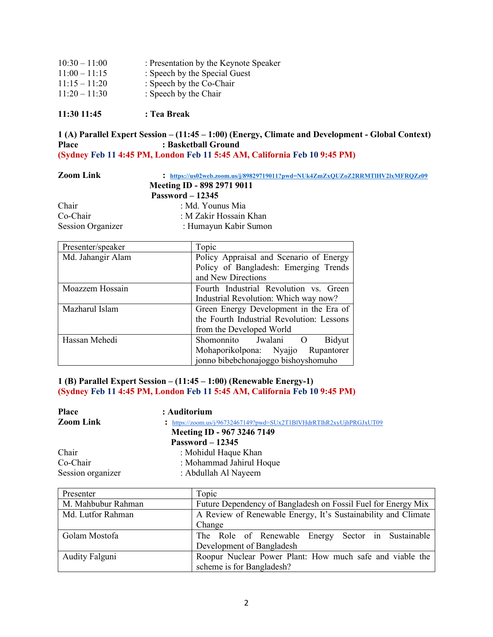| $10:30 - 11:00$ | : Presentation by the Keynote Speaker |
|-----------------|---------------------------------------|
| $11:00 - 11:15$ | : Speech by the Special Guest         |
| $11:15 - 11:20$ | : Speech by the Co-Chair              |
| $11:20 - 11:30$ | : Speech by the Chair                 |
|                 |                                       |

**11:30 11:45 : Tea Break** 

## **1 (A) Parallel Expert Session – (11:45 – 1:00) (Energy, Climate and Development - Global Context)**  Place : Basketball Ground **(Sydney Feb 11 4:45 PM, London Feb 11 5:45 AM, California Feb 10 9:45 PM)**

| <b>Zoom Link</b>         | : https://us02web.zoom.us/j/89829719011?pwd=NUk4ZmZxOUZoZ2RRMTIHV2lxMFROZz09 |
|--------------------------|------------------------------------------------------------------------------|
|                          | Meeting ID - 898 2971 9011                                                   |
|                          | Password $-12345$                                                            |
| Chair                    | : Md. Younus Mia                                                             |
| Co-Chair                 | : M Zakir Hossain Khan                                                       |
| <b>Session Organizer</b> | : Humayun Kabir Sumon                                                        |

| Presenter/speaker | Topic                                        |  |
|-------------------|----------------------------------------------|--|
| Md. Jahangir Alam | Policy Appraisal and Scenario of Energy      |  |
|                   | Policy of Bangladesh: Emerging Trends        |  |
|                   | and New Directions                           |  |
| Moazzem Hossain   | Fourth Industrial Revolution vs. Green       |  |
|                   | Industrial Revolution: Which way now?        |  |
| Mazharul Islam    | Green Energy Development in the Era of       |  |
|                   | the Fourth Industrial Revolution: Lessons    |  |
|                   | from the Developed World                     |  |
| Hassan Mehedi     | Bidyut<br>Shomonnito Jwalani<br><sup>O</sup> |  |
|                   | Mohaporikolpona: Nyajjo Rupantorer           |  |
|                   | jonno bibebchonajoggo bishoyshomuho          |  |

# **1 (B) Parallel Expert Session – (11:45 – 1:00) (Renewable Energy-1) (Sydney Feb 11 4:45 PM, London Feb 11 5:45 AM, California Feb 10 9:45 PM)**

| : https://zoom.us/j/96732467149?pwd=SUx2T1BlVHdrRTlhR2xyUjhPRGJxUT09 |
|----------------------------------------------------------------------|
|                                                                      |
|                                                                      |
|                                                                      |
|                                                                      |
|                                                                      |
|                                                                      |

| Presenter             | Topic                                                         |  |
|-----------------------|---------------------------------------------------------------|--|
| M. Mahbubur Rahman    | Future Dependency of Bangladesh on Fossil Fuel for Energy Mix |  |
| Md. Lutfor Rahman     | A Review of Renewable Energy, It's Sustainability and Climate |  |
|                       | Change                                                        |  |
| Golam Mostofa         | The Role of Renewable Energy Sector in Sustainable            |  |
|                       | Development of Bangladesh                                     |  |
| <b>Audity Falguni</b> | Roopur Nuclear Power Plant: How much safe and viable the      |  |
|                       | scheme is for Bangladesh?                                     |  |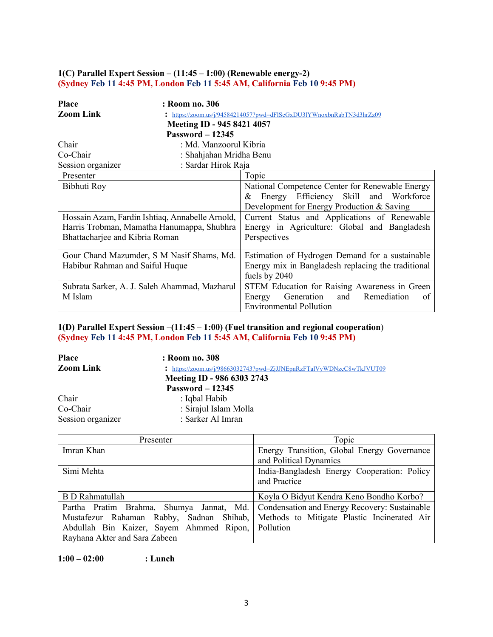# **1(C) Parallel Expert Session – (11:45 – 1:00) (Renewable energy-2) (Sydney Feb 11 4:45 PM, London Feb 11 5:45 AM, California Feb 10 9:45 PM)**

| <b>Place</b>                    | : Room no. 306                                  |                                                                    |
|---------------------------------|-------------------------------------------------|--------------------------------------------------------------------|
| <b>Zoom Link</b>                |                                                 | https://zoom.us/j/94584214057?pwd=dFISeGxDU3IYWnoxbnRabTN3d3hrZz09 |
|                                 | Meeting ID - 945 8421 4057                      |                                                                    |
|                                 | <b>Password - 12345</b>                         |                                                                    |
| Chair                           | : Md. Manzoorul Kibria                          |                                                                    |
| Co-Chair                        | : Shahjahan Mridha Benu                         |                                                                    |
| Session organizer               | : Sardar Hirok Raja                             |                                                                    |
| Presenter                       |                                                 | Topic                                                              |
| Bibhuti Roy                     |                                                 | National Competence Center for Renewable Energy                    |
|                                 |                                                 | Energy Efficiency Skill and Workforce<br>&                         |
|                                 |                                                 | Development for Energy Production & Saving                         |
|                                 | Hossain Azam, Fardin Ishtiaq, Annabelle Arnold, | Current Status and Applications of Renewable                       |
|                                 | Harris Trobman, Mamatha Hanumappa, Shubhra      | Energy in Agriculture: Global and Bangladesh                       |
| Bhattacharjee and Kibria Roman  |                                                 | Perspectives                                                       |
|                                 | Gour Chand Mazumder, S M Nasif Shams, Md.       | Estimation of Hydrogen Demand for a sustainable                    |
| Habibur Rahman and Saiful Huque |                                                 | Energy mix in Bangladesh replacing the traditional                 |
|                                 |                                                 | fuels by 2040                                                      |
|                                 | Subrata Sarker, A. J. Saleh Ahammad, Mazharul   | STEM Education for Raising Awareness in Green                      |
| M Islam                         |                                                 | Generation<br>and<br>Remediation<br>Energy<br>of                   |
|                                 |                                                 | <b>Environmental Pollution</b>                                     |

# **1(D) Parallel Expert Session –(11:45 – 1:00) (Fuel transition and regional cooperation**) **(Sydney Feb 11 4:45 PM, London Feb 11 5:45 AM, California Feb 10 9:45 PM)**

| <b>Place</b>      | : Room no. 308                                                       |
|-------------------|----------------------------------------------------------------------|
| <b>Zoom Link</b>  | : https://zoom.us/j/98663032743?pwd=ZjJJNEpnRzFTalVyWDNzcC8wTkJVUT09 |
|                   | Meeting ID - 986 6303 2743                                           |
|                   | Password $-12345$                                                    |
| Chair             | : Iqbal Habib                                                        |
| Co-Chair          | : Sirajul Islam Molla                                                |
| Session organizer | : Sarker Al Imran                                                    |

| Presenter                                                                              | Topic                                                       |
|----------------------------------------------------------------------------------------|-------------------------------------------------------------|
| Imran Khan                                                                             | Energy Transition, Global Energy Governance                 |
|                                                                                        | and Political Dynamics                                      |
| Simi Mehta                                                                             | India-Bangladesh Energy Cooperation: Policy<br>and Practice |
| <b>B</b> D Rahmatullah                                                                 | Koyla O Bidyut Kendra Keno Bondho Korbo?                    |
| Partha Pratim Brahma, Shumya Jannat, Md. Condensation and Energy Recovery: Sustainable |                                                             |
| Mustafezur Rahaman Rabby, Sadnan Shihab, Methods to Mitigate Plastic Incinerated Air   |                                                             |
| Abdullah Bin Kaizer, Sayem Ahmmed Ripon, Pollution                                     |                                                             |
| Rayhana Akter and Sara Zabeen                                                          |                                                             |

**1:00 – 02:00 : Lunch**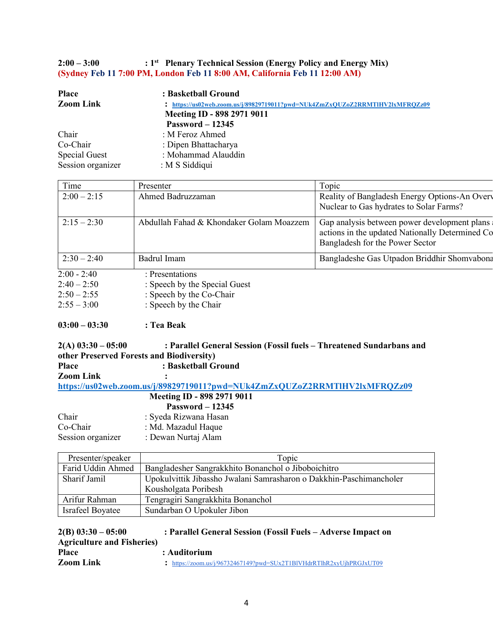**2:00 – 3:00 : 1st Plenary Technical Session (Energy Policy and Energy Mix) (Sydney Feb 11 7:00 PM, London Feb 11 8:00 AM, California Feb 11 12:00 AM)**

| <b>Place</b>      | : Basketball Ground                                                          |
|-------------------|------------------------------------------------------------------------------|
| <b>Zoom Link</b>  | : https://us02web.zoom.us/j/89829719011?pwd=NUk4ZmZxOUZoZ2RRMTIHV2lxMFROZz09 |
|                   | Meeting ID - 898 2971 9011                                                   |
|                   | Password $-12345$                                                            |
| Chair             | : M Feroz Ahmed                                                              |
| Co-Chair          | : Dipen Bhattacharya                                                         |
| Special Guest     | : Mohammad Alauddin                                                          |
| Session organizer | : M S Siddiqui                                                               |

| Time          | Presenter                                | Topic                                                                                                                              |
|---------------|------------------------------------------|------------------------------------------------------------------------------------------------------------------------------------|
| $2:00 - 2:15$ | Ahmed Badruzzaman                        | Reality of Bangladesh Energy Options-An Overv<br>Nuclear to Gas hydrates to Solar Farms?                                           |
| $2:15 - 2:30$ | Abdullah Fahad & Khondaker Golam Moazzem | Gap analysis between power development plans<br>actions in the updated Nationally Determined Co<br>Bangladesh for the Power Sector |
| $2:30 - 2:40$ | Badrul Imam                              | Bangladeshe Gas Utpadon Briddhir Shomvabona                                                                                        |
| $2:00 - 2:40$ | : Presentations                          |                                                                                                                                    |
| $2:40 - 2:50$ | : Speech by the Special Guest            |                                                                                                                                    |
| $2:50 - 2:55$ | : Speech by the Co-Chair                 |                                                                                                                                    |
| $2:55 - 3:00$ | : Speech by the Chair                    |                                                                                                                                    |

# **03:00 – 03:30 : Tea Beak**

| $2(A)$ 03:30 - 05:00 | : Parallel General Session (Fossil fuels - Threatened Sundarbans and       |
|----------------------|----------------------------------------------------------------------------|
|                      | other Preserved Forests and Biodiversity)                                  |
| <b>Place</b>         | : Basketball Ground                                                        |
| <b>Zoom Link</b>     |                                                                            |
|                      | https://us02web.zoom.us/j/89829719011?pwd=NUk4ZmZxQUZoZ2RRMTlHV2lxMFRQZz09 |
|                      | Meeting ID - 898 2971 9011                                                 |
|                      | <b>Password - 12345</b>                                                    |
| Chair                | : Syeda Rizwana Hasan                                                      |
| Co-Chair             | : Md. Mazadul Haque                                                        |

| $\cup$ ulul       | . Mu. Mazaudi Hayav |
|-------------------|---------------------|
| Session organizer | : Dewan Nurtaj Alam |

| Presenter/speaker       | Topic                                                               |  |
|-------------------------|---------------------------------------------------------------------|--|
| Farid Uddin Ahmed       | Bangladesher Sangrakkhito Bonanchol o Jiboboichitro                 |  |
| Sharif Jamil            | Upokulvittik Jibassho Jwalani Samrasharon o Dakkhin-Paschimancholer |  |
|                         | Kousholgata Poribesh                                                |  |
| Arifur Rahman           | Tengragiri Sangrakkhita Bonanchol                                   |  |
| <b>Israfeel Boyatee</b> | Sundarban O Upokuler Jibon                                          |  |

| $2(B)$ 03:30 - 05:00               | : Parallel General Session (Fossil Fuels – Adverse Impact on         |
|------------------------------------|----------------------------------------------------------------------|
| <b>Agriculture and Fisheries</b> ) |                                                                      |
| <b>Place</b>                       | : Auditorium                                                         |
| <b>Zoom Link</b>                   | : https://zoom.us/j/96732467149?pwd=SUx2T1BIVHdrRTlhR2xyUjhPRGJxUT09 |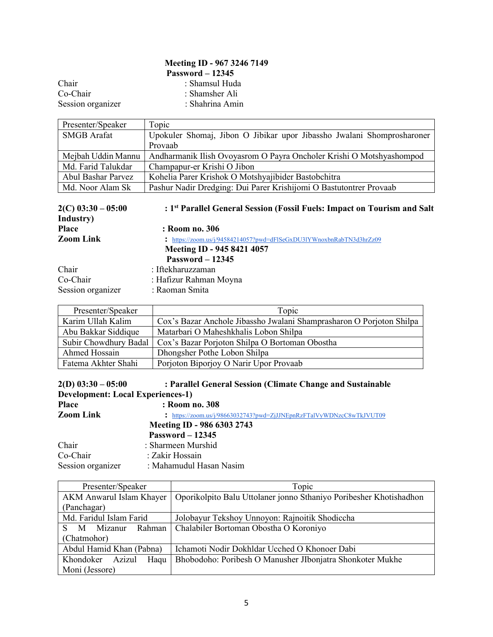# **Meeting ID - 967 3246 7149 Password – 12345** Chair : Shamsul Huda<br>
Co-Chair : Shamsher Ali : Shamsher Ali<br>: Shahrina Amin

Session organizer

| Presenter/Speaker  | Topic                                                                  |
|--------------------|------------------------------------------------------------------------|
| SMGB Arafat        | Upokuler Shomaj, Jibon O Jibikar upor Jibassho Jwalani Shomprosharoner |
|                    | Provaab                                                                |
| Mejbah Uddin Mannu | Andharmanik Ilish Ovoyasrom O Payra Oncholer Krishi O Motshyashompod   |
| Md. Farid Talukdar | Champapur-er Krishi O Jibon                                            |
| Abul Bashar Parvez | Kohelia Parer Krishok O Motshyajibider Bastobchitra                    |
| Md. Noor Alam Sk   | Pashur Nadir Dredging: Dui Parer Krishijomi O Bastutontrer Provaab     |

| $2(C)$ 03:30 – 05:00<br>Industry) | : 1 <sup>st</sup> Parallel General Session (Fossil Fuels: Impact on Tourism and Salt |
|-----------------------------------|--------------------------------------------------------------------------------------|
| <b>Place</b>                      | : Room no. 306                                                                       |
| <b>Zoom Link</b>                  | : https://zoom.us/j/94584214057?pwd=dFISeGxDU31YWnoxbnRabTN3d3hrZz09                 |
|                                   | Meeting ID - 945 8421 4057                                                           |
|                                   | Password $-12345$                                                                    |
| Chair                             | : Iftekharuzzaman                                                                    |
| Co-Chair                          | : Hafizur Rahman Moyna                                                               |
| Session organizer                 | : Raoman Smita                                                                       |

| Presenter/Speaker     | Topic                                                                |
|-----------------------|----------------------------------------------------------------------|
| Karim Ullah Kalim     | Cox's Bazar Anchole Jibassho Jwalani Shamprasharon O Porjoton Shilpa |
| Abu Bakkar Siddique   | Matarbari O Maheshkhalis Lobon Shilpa                                |
| Subir Chowdhury Badal | Cox's Bazar Porjoton Shilpa O Bortoman Obostha                       |
| Ahmed Hossain         | Dhongsher Pothe Lobon Shilpa                                         |
| Fatema Akhter Shahi   | Porjoton Biporjoy O Narir Upor Provaab                               |

| $2(D)$ 03:30 - 05:00                     | : Parallel General Session (Climate Change and Sustainable |
|------------------------------------------|------------------------------------------------------------|
| <b>Development: Local Experiences-1)</b> |                                                            |
| <b>Place</b>                             | : Room no. 308                                             |

|                   | $\ldots$                                                             |
|-------------------|----------------------------------------------------------------------|
| <b>Zoom Link</b>  | : https://zoom.us/j/98663032743?pwd=ZjJJNEpnRzFTalVyWDNzcC8wTkJVUT09 |
|                   | Meeting ID - 986 6303 2743                                           |
|                   | Password $-12345$                                                    |
| Chair             | : Sharmeen Murshid                                                   |
| Co-Chair          | : Zakir Hossain                                                      |
| Session organizer | : Mahamudul Hasan Nasim                                              |

| Presenter/Speaker        | Topic                                                              |
|--------------------------|--------------------------------------------------------------------|
| AKM Anwarul Islam Khayer | Oporikolpito Balu Uttolaner jonno Sthaniyo Poribesher Khotishadhon |
| (Panchagar)              |                                                                    |
| Md. Faridul Islam Farid  | Jolobayur Tekshoy Unnoyon: Rajnoitik Shodiccha                     |
| M Mizanur<br>S.          | Rahman   Chalabiler Bortoman Obostha O Koroniyo                    |
| (Chatmohor)              |                                                                    |
| Abdul Hamid Khan (Pabna) | Ichamoti Nodir Dokhldar Ucched O Khonoer Dabi                      |
| Khondoker Azizul<br>Haqu | Bhobodoho: Poribesh O Manusher JIbonjatra Shonkoter Mukhe          |
| Moni (Jessore)           |                                                                    |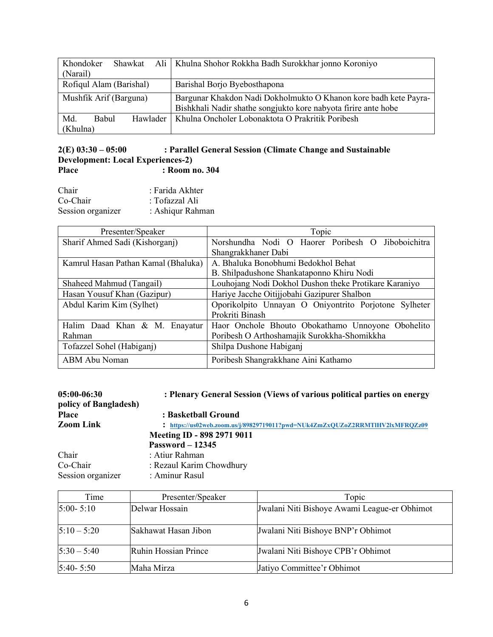| Khondoker               | Shawkat |          | Ali   Khulna Shohor Rokkha Badh Surokkhar jonno Koroniyo         |
|-------------------------|---------|----------|------------------------------------------------------------------|
| (Narail)                |         |          |                                                                  |
| Rofiqul Alam (Barishal) |         |          | Barishal Borjo Byebosthapona                                     |
| Mushfik Arif (Barguna)  |         |          | Bargunar Khakdon Nadi Dokholmukto O Khanon kore badh kete Payra- |
|                         |         |          | Bishkhali Nadir shathe songjukto kore nabyota firire ante hobe   |
| Md.<br><b>Babul</b>     |         | Hawlader | Khulna Oncholer Lobonaktota O Prakritik Poribesh                 |
| (Khulna)                |         |          |                                                                  |

## **2(E) 03:30 – 05:00 : Parallel General Session (Climate Change and Sustainable Development: Local Experiences-2)** Place : Room no. 304

| Chair             | : Farida Akhter  |
|-------------------|------------------|
| Co-Chair          | : Tofazzal Ali   |
| Session organizer | : Ashiqur Rahman |

| Presenter/Speaker                   | Topic                                                 |
|-------------------------------------|-------------------------------------------------------|
| Sharif Ahmed Sadi (Kishorganj)      | Norshundha Nodi O Haorer Poribesh O Jiboboichitra     |
|                                     | Shangrakkhaner Dabi                                   |
| Kamrul Hasan Pathan Kamal (Bhaluka) | A. Bhaluka Bonobhumi Bedokhol Behat                   |
|                                     | B. Shilpadushone Shankataponno Khiru Nodi             |
| Shaheed Mahmud (Tangail)            | Louhojang Nodi Dokhol Dushon theke Protikare Karaniyo |
| Hasan Yousuf Khan (Gazipur)         | Hariye Jacche Oitijjobahi Gazipurer Shalbon           |
| Abdul Karim Kim (Sylhet)            | Oporikolpito Unnayan O Oniyontrito Porjotone Sylheter |
|                                     | Prokriti Binash                                       |
| Halim Daad Khan & M. Enayatur       | Haor Onchole Bhouto Obokathamo Unnoyone Obohelito     |
| Rahman                              | Poribesh O Arthoshamajik Surokkha-Shomikkha           |
| Tofazzel Sohel (Habiganj)           | Shilpa Dushone Habiganj                               |
| ABM Abu Noman                       | Poribesh Shangrakkhane Aini Kathamo                   |

| $05:00-06:30$<br>policy of Bangladesh) | : Plenary General Session (Views of various political parties on energy      |
|----------------------------------------|------------------------------------------------------------------------------|
| <b>Place</b>                           | : Basketball Ground                                                          |
| <b>Zoom Link</b>                       | : https://us02web.zoom.us/j/89829719011?pwd=NUk4ZmZxOUZoZ2RRMTIHV2lxMFROZz09 |
|                                        | Meeting ID - 898 2971 9011                                                   |
|                                        | <b>Password - 12345</b>                                                      |
| Chair                                  | : Atiur Rahman                                                               |
| Co-Chair                               | : Rezaul Karim Chowdhury                                                     |
| Session organizer                      | : Aminur Rasul                                                               |

| Time          | Presenter/Speaker    | Topic                                        |
|---------------|----------------------|----------------------------------------------|
| $5:00 - 5:10$ | Delwar Hossain       | Jwalani Niti Bishoye Awami League-er Obhimot |
| $5:10 - 5:20$ | Sakhawat Hasan Jibon | Jwalani Niti Bishoye BNP'r Obhimot           |
| $5:30 - 5:40$ | Ruhin Hossian Prince | Jwalani Niti Bishoye CPB'r Obhimot           |
| $5:40 - 5:50$ | Maha Mirza           | Jatiyo Committee'r Obhimot                   |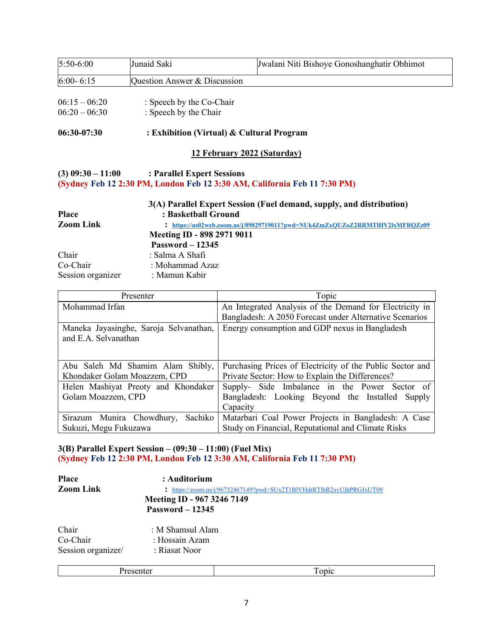| $5:50-6:00$       | Junaid Saki                                    | Jwalani Niti Bishoye Gonoshanghatir Obhimot                                  |
|-------------------|------------------------------------------------|------------------------------------------------------------------------------|
| $6:00 - 6:15$     | Question Answer & Discussion                   |                                                                              |
|                   |                                                |                                                                              |
| $06:15 - 06:20$   | : Speech by the Co-Chair                       |                                                                              |
| $06:20 - 06:30$   | : Speech by the Chair                          |                                                                              |
| $06:30-07:30$     | : Exhibition (Virtual) & Cultural Program      |                                                                              |
|                   |                                                | 12 February 2022 (Saturday)                                                  |
|                   | $(3) 09:30 - 11:00$ : Parallel Expert Sessions | (Sydney Feb 12 2:30 PM, London Feb 12 3:30 AM, California Feb 11 7:30 PM)    |
| Place             | : Basketball Ground                            | 3(A) Parallel Expert Session (Fuel demand, supply, and distribution)         |
| <b>Zoom Link</b>  |                                                | : https://us02web.zoom.us/j/89829719011?pwd=NUk4ZmZxQUZoZ2RRMTIHV2lxMFRQZz09 |
|                   | Meeting ID - 898 2971 9011                     |                                                                              |
|                   | <b>Password - 12345</b>                        |                                                                              |
| Chair             | : Salma A Shafi                                |                                                                              |
| Co-Chair          | : Mohammad Azaz                                |                                                                              |
| Session organizer | : Mamun Kabir                                  |                                                                              |

| Presenter                              | Topic                                                     |
|----------------------------------------|-----------------------------------------------------------|
| Mohammad Irfan                         | An Integrated Analysis of the Demand for Electricity in   |
|                                        | Bangladesh: A 2050 Forecast under Alternative Scenarios   |
| Maneka Jayasinghe, Saroja Selvanathan, | Energy consumption and GDP nexus in Bangladesh            |
| and E.A. Selvanathan                   |                                                           |
|                                        |                                                           |
|                                        |                                                           |
| Abu Saleh Md Shamim Alam Shibly,       | Purchasing Prices of Electricity of the Public Sector and |
| Khondaker Golam Moazzem, CPD           | Private Sector: How to Explain the Differences?           |
| Helen Mashiyat Preoty and Khondaker    | Supply- Side Imbalance in the Power Sector of             |
| Golam Moazzem, CPD                     | Bangladesh: Looking Beyond the Installed Supply           |
|                                        | Capacity                                                  |
| Sachiko<br>Sirazum Munira Chowdhury,   | Matarbari Coal Power Projects in Bangladesh: A Case       |
| Sukuzi, Megu Fukuzawa                  | Study on Financial, Reputational and Climate Risks        |

## **3(B) Parallel Expert Session – (09:30 – 11:00) (Fuel Mix) (Sydney Feb 12 2:30 PM, London Feb 12 3:30 AM, California Feb 11 7:30 PM)**

| <b>Place</b>       | : Auditorium                                                         |  |
|--------------------|----------------------------------------------------------------------|--|
| <b>Zoom Link</b>   | : https://zoom.us/j/96732467149?pwd=SUx2T1BIVHdrRTlhR2xyUjhPRGJxUT09 |  |
|                    | Meeting ID - 967 3246 7149                                           |  |
|                    | <b>Password - 12345</b>                                              |  |
| Chair              | : M Shamsul Alam                                                     |  |
| Co-Chair           | : Hossain Azam                                                       |  |
| Session organizer/ | : Riasat Noor                                                        |  |
|                    |                                                                      |  |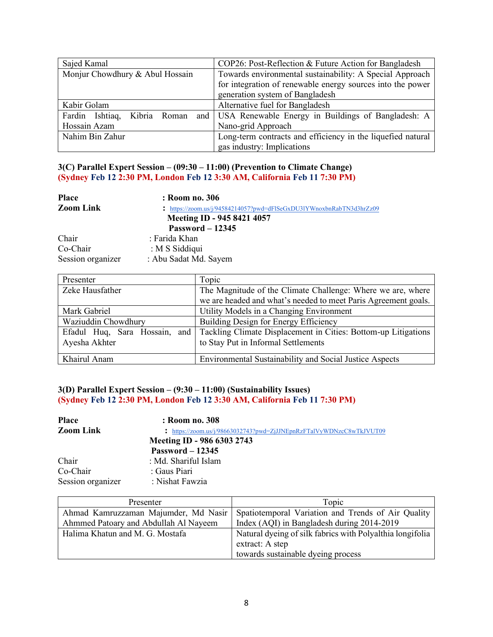| Sajed Kamal                     | COP26: Post-Reflection & Future Action for Bangladesh       |
|---------------------------------|-------------------------------------------------------------|
| Monjur Chowdhury & Abul Hossain | Towards environmental sustainability: A Special Approach    |
|                                 | for integration of renewable energy sources into the power  |
|                                 | generation system of Bangladesh                             |
| Kabir Golam                     | Alternative fuel for Bangladesh                             |
| Fardin Ishtiaq, Kibria Roman    | and   USA Renewable Energy in Buildings of Bangladesh: A    |
| Hossain Azam                    | Nano-grid Approach                                          |
| Nahim Bin Zahur                 | Long-term contracts and efficiency in the liquefied natural |
|                                 | gas industry: Implications                                  |

### **3(C) Parallel Expert Session – (09:30 – 11:00) (Prevention to Climate Change) (Sydney Feb 12 2:30 PM, London Feb 12 3:30 AM, California Feb 11 7:30 PM)**

| <b>Place</b>      | : Room no. 306                                                       |
|-------------------|----------------------------------------------------------------------|
| <b>Zoom Link</b>  | : https://zoom.us/j/94584214057?pwd=dFlSeGxDU3IYWnoxbnRabTN3d3hrZz09 |
|                   | Meeting ID - 945 8421 4057                                           |
|                   | Password $-12345$                                                    |
| Chair             | : Farida Khan                                                        |
| Co-Chair          | : M S Siddiqui                                                       |
| Session organizer | : Abu Sadat Md. Sayem                                                |

| Presenter           | Topic                                                                                        |
|---------------------|----------------------------------------------------------------------------------------------|
| Zeke Hausfather     | The Magnitude of the Climate Challenge: Where we are, where                                  |
|                     | we are headed and what's needed to meet Paris Agreement goals.                               |
| Mark Gabriel        | Utility Models in a Changing Environment                                                     |
| Waziuddin Chowdhury | Building Design for Energy Efficiency                                                        |
|                     | Efadul Huq, Sara Hossain, and Tackling Climate Displacement in Cities: Bottom-up Litigations |
| Ayesha Akhter       | to Stay Put in Informal Settlements                                                          |
|                     |                                                                                              |
| Khairul Anam        | <b>Environmental Sustainability and Social Justice Aspects</b>                               |

### **3(D) Parallel Expert Session – (9:30 – 11:00) (Sustainability Issues) (Sydney Feb 12 2:30 PM, London Feb 12 3:30 AM, California Feb 11 7:30 PM)**

| <b>Place</b>      | : Room no. 308                                                       |
|-------------------|----------------------------------------------------------------------|
| <b>Zoom Link</b>  | : https://zoom.us/j/98663032743?pwd=ZjJJNEpnRzFTalVyWDNzcC8wTkJVUT09 |
|                   | Meeting ID - 986 6303 2743                                           |
|                   | Password $-12345$                                                    |
| Chair             | : Md. Shariful Islam                                                 |
| Co-Chair          | : Gaus Piari                                                         |
| Session organizer | : Nishat Fawzia                                                      |

| Presenter                             | Topic                                                     |
|---------------------------------------|-----------------------------------------------------------|
| Ahmad Kamruzzaman Majumder, Md Nasir  | Spatiotemporal Variation and Trends of Air Quality        |
| Ahmmed Patoary and Abdullah Al Nayeem | Index (AQI) in Bangladesh during 2014-2019                |
| Halima Khatun and M. G. Mostafa       | Natural dyeing of silk fabrics with Polyalthia longifolia |
|                                       | extract: A step                                           |
|                                       | towards sustainable dyeing process                        |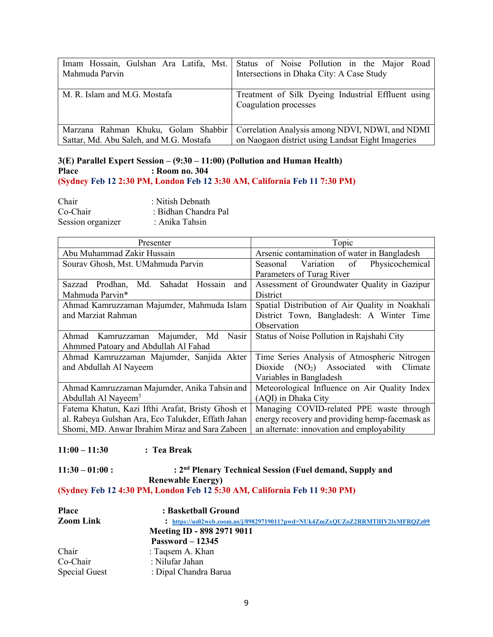| Mahmuda Parvin                          | Imam Hossain, Gulshan Ara Latifa, Mst. Status of Noise Pollution in the Major<br>Road<br>Intersections in Dhaka City: A Case Study |
|-----------------------------------------|------------------------------------------------------------------------------------------------------------------------------------|
| M. R. Islam and M.G. Mostafa            | Treatment of Silk Dyeing Industrial Effluent using<br>Coagulation processes                                                        |
| Marzana Rahman Khuku, Golam Shabbir     | Correlation Analysis among NDVI, NDWI, and NDMI                                                                                    |
| Sattar, Md. Abu Saleh, and M.G. Mostafa | on Naogaon district using Landsat Eight Imageries                                                                                  |

### **3(E) Parallel Expert Session – (9:30 – 11:00) (Pollution and Human Health) Place : Room no. 304 (Sydney Feb 12 2:30 PM, London Feb 12 3:30 AM, California Feb 11 7:30 PM)**

| Chair             | : Nitish Debnath     |
|-------------------|----------------------|
| Co-Chair          | : Bidhan Chandra Pal |
| Session organizer | : Anika Tahsin       |

| Presenter                                              | Topic                                           |  |
|--------------------------------------------------------|-------------------------------------------------|--|
| Abu Muhammad Zakir Hussain                             | Arsenic contamination of water in Bangladesh    |  |
| Sourav Ghosh, Mst. UMahmuda Parvin                     | Physicochemical<br>Variation of<br>Seasonal     |  |
|                                                        | Parameters of Turag River                       |  |
| Prodhan,<br>Md.<br>Sahadat<br>and<br>Hossain<br>Sazzad | Assessment of Groundwater Quality in Gazipur    |  |
| Mahmuda Parvin*                                        | <b>District</b>                                 |  |
| Ahmad Kamruzzaman Majumder, Mahmuda Islam              | Spatial Distribution of Air Quality in Noakhali |  |
| and Marziat Rahman                                     | District Town, Bangladesh: A Winter Time        |  |
|                                                        | Observation                                     |  |
| Ahmad Kamruzzaman Majumder, Md<br><b>Nasir</b>         | Status of Noise Pollution in Rajshahi City      |  |
| Ahmmed Patoary and Abdullah Al Fahad                   |                                                 |  |
| Ahmad Kamruzzaman Majumder, Sanjida Akter              | Time Series Analysis of Atmospheric Nitrogen    |  |
| and Abdullah Al Nayeem                                 | $(NO2)$ Associated with<br>Climate<br>Dioxide   |  |
|                                                        | Variables in Bangladesh                         |  |
| Ahmad Kamruzzaman Majumder, Anika Tahsin and           | Meteorological Influence on Air Quality Index   |  |
| Abdullah Al Nayeem <sup>3</sup>                        | (AQI) in Dhaka City                             |  |
| Fatema Khatun, Kazi Ifthi Arafat, Bristy Ghosh et      | Managing COVID-related PPE waste through        |  |
| al. Rabeya Gulshan Ara, Eco Talukder, Effath Jahan     | energy recovery and providing hemp-facemask as  |  |
| Shomi, MD. Anwar Ibrahim Miraz and Sara Zabeen         | an alternate: innovation and employability      |  |

## **11:00 – 11:30 : Tea Break**

## **11:30 – 01:00 : : 2nd Plenary Technical Session (Fuel demand, Supply and Renewable Energy) (Sydney Feb 12 4:30 PM, London Feb 12 5:30 AM, California Feb 11 9:30 PM)**

| <b>Place</b>         | : Basketball Ground                                                          |
|----------------------|------------------------------------------------------------------------------|
| <b>Zoom Link</b>     | : https://us02web.zoom.us/j/89829719011?pwd=NUk4ZmZxQUZoZ2RRMTlHV2lxMFRQZz09 |
|                      | Meeting ID - 898 2971 9011                                                   |
|                      | Password $-12345$                                                            |
| Chair                | : Taqsem A. Khan                                                             |
| Co-Chair             | : Nilufar Jahan                                                              |
| <b>Special Guest</b> | : Dipal Chandra Barua                                                        |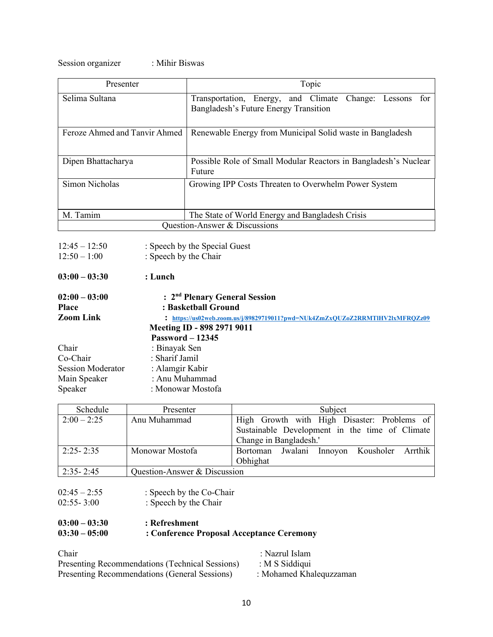Session organizer : Mihir Biswas

| Presenter                     | Topic                                                                                                  |
|-------------------------------|--------------------------------------------------------------------------------------------------------|
| Selima Sultana                | Transportation, Energy, and Climate<br>Change: Lessons<br>tor<br>Bangladesh's Future Energy Transition |
| Feroze Ahmed and Tanvir Ahmed | Renewable Energy from Municipal Solid waste in Bangladesh                                              |
| Dipen Bhattacharya            | Possible Role of Small Modular Reactors in Bangladesh's Nuclear<br>Future                              |
| Simon Nicholas                | Growing IPP Costs Threaten to Overwhelm Power System                                                   |
| M. Tamim                      | The State of World Energy and Bangladesh Crisis                                                        |
| Question-Answer & Discussions |                                                                                                        |
|                               |                                                                                                        |

| $12:45 - 12:50$          | : Speech by the Special Guest                                              |
|--------------------------|----------------------------------------------------------------------------|
| $12:50 - 1:00$           | : Speech by the Chair                                                      |
| $03:00 - 03:30$          | : Lunch                                                                    |
| $02:00 - 03:00$          | : 2 <sup>nd</sup> Plenary General Session                                  |
| <b>Place</b>             | : Basketball Ground                                                        |
| <b>Zoom Link</b>         | https://us02web.zoom.us/j/89829719011?pwd=NUk4ZmZxQUZoZ2RRMTIHV2lxMFRQZz09 |
|                          | Meeting ID - 898 2971 9011                                                 |
|                          | Password $-12345$                                                          |
| Chair                    | : Binayak Sen                                                              |
| Co-Chair                 | : Sharif Jamil                                                             |
| <b>Session Moderator</b> | : Alamgir Kabir                                                            |
| Main Speaker             | : Anu Muhammad                                                             |
| Speaker                  | : Monowar Mostofa                                                          |

| Schedule      | Presenter                    | Subject                                                                                                                 |
|---------------|------------------------------|-------------------------------------------------------------------------------------------------------------------------|
| $2:00 - 2:25$ | Anu Muhammad                 | High Growth with High Disaster: Problems of<br>Sustainable Development in the time of Climate<br>Change in Bangladesh.' |
| $2:25 - 2:35$ | Monowar Mostofa              | Bortoman Jwalani Innoyon Kousholer Arrthik<br>Obhighat                                                                  |
| $2:35 - 2:45$ | Question-Answer & Discussion |                                                                                                                         |

| $02:45 - 2:55$ | : Speech by the Co-Chair |
|----------------|--------------------------|
|----------------|--------------------------|

 $02:55-3:00$  : Speech by the Chair

# **03:00 – 03:30 : Refreshment 03:30 – 05:00 : Conference Proposal Acceptance Ceremony**

| Chair                                           | : Nazrul Islam          |
|-------------------------------------------------|-------------------------|
| Presenting Recommendations (Technical Sessions) | : $M S$ Siddiqui        |
| Presenting Recommendations (General Sessions)   | : Mohamed Khalequzzaman |